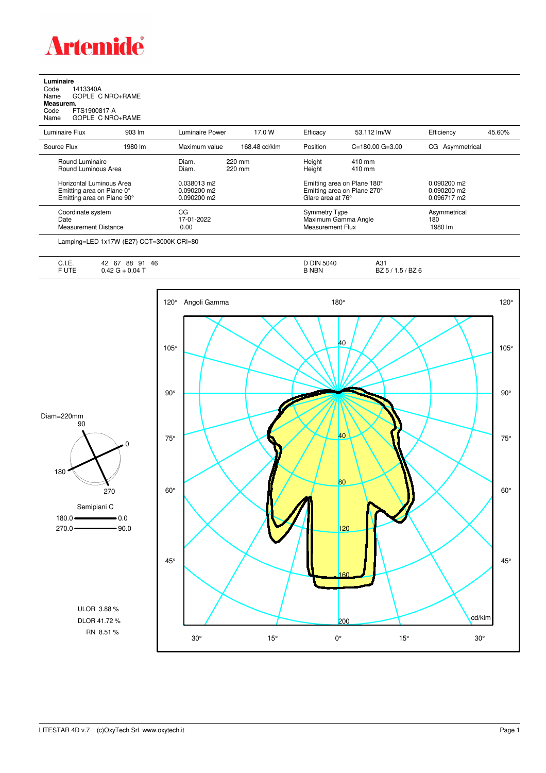

**Luminaire**<br>Code 1<br>Name ( Code 1413340A Name GOPLE C NRO+RAME **Measurem.**

Code FTS1900817-A Name GOPLE C NRO+RAME

| Luminaire Flux                                                                      | $903 \, \text{Im}$                                                                                                                                                                                                                                                                                                                                                                                                                                                                         | Luminaire Power                           | 17.0 W           | Efficacy                                        | 53.112 lm/W                                                                     | Efficiency                     | 45.60% |
|-------------------------------------------------------------------------------------|--------------------------------------------------------------------------------------------------------------------------------------------------------------------------------------------------------------------------------------------------------------------------------------------------------------------------------------------------------------------------------------------------------------------------------------------------------------------------------------------|-------------------------------------------|------------------|-------------------------------------------------|---------------------------------------------------------------------------------|--------------------------------|--------|
| Source Flux                                                                         | 1980 lm                                                                                                                                                                                                                                                                                                                                                                                                                                                                                    | Maximum value                             | 168.48 cd/klm    | Position                                        | $C = 180.00$ $G = 3.00$                                                         | CG Asymmetrical                |        |
| Round Luminaire<br>Round Luminous Area                                              |                                                                                                                                                                                                                                                                                                                                                                                                                                                                                            | Diam.<br>Diam.                            | 220 mm<br>220 mm | Height<br>Height                                | $410 \text{ mm}$<br>$410 \text{ mm}$                                            |                                |        |
| Horizontal Luminous Area<br>Emitting area on Plane 0°<br>Emitting area on Plane 90° |                                                                                                                                                                                                                                                                                                                                                                                                                                                                                            | 0.038013 m2<br>0.090200 m2<br>0.090200 m2 |                  |                                                 | Emitting area on Plane 180°<br>Emitting area on Plane 270°<br>Glare area at 76° |                                |        |
| Coordinate system<br>Date<br>Measurement Distance                                   |                                                                                                                                                                                                                                                                                                                                                                                                                                                                                            | CG<br>17-01-2022<br>0.00                  |                  | <b>Symmetry Type</b><br><b>Measurement Flux</b> | Maximum Gamma Angle                                                             | Asymmetrical<br>180<br>1980 lm |        |
|                                                                                     | $\blacksquare$ $\blacksquare$ $\blacksquare$ $\blacksquare$ $\blacksquare$ $\blacksquare$ $\blacksquare$ $\blacksquare$ $\blacksquare$ $\blacksquare$ $\blacksquare$ $\blacksquare$ $\blacksquare$ $\blacksquare$ $\blacksquare$ $\blacksquare$ $\blacksquare$ $\blacksquare$ $\blacksquare$ $\blacksquare$ $\blacksquare$ $\blacksquare$ $\blacksquare$ $\blacksquare$ $\blacksquare$ $\blacksquare$ $\blacksquare$ $\blacksquare$ $\blacksquare$ $\blacksquare$ $\blacksquare$ $\blacks$ |                                           |                  |                                                 |                                                                                 |                                |        |

Lamping=LED 1x17W (E27) CCT=3000K CRI=80

| . .<br>◡…   | 46<br>88<br>67<br>42<br>Q1<br>ັ | DIN 5040     | A31                      |
|-------------|---------------------------------|--------------|--------------------------|
| - 11-<br>◡喉 | $0.04$ $\tau$<br>, TL           | <b>B NBN</b> | BZ 6<br><br>DZ 37<br>. . |